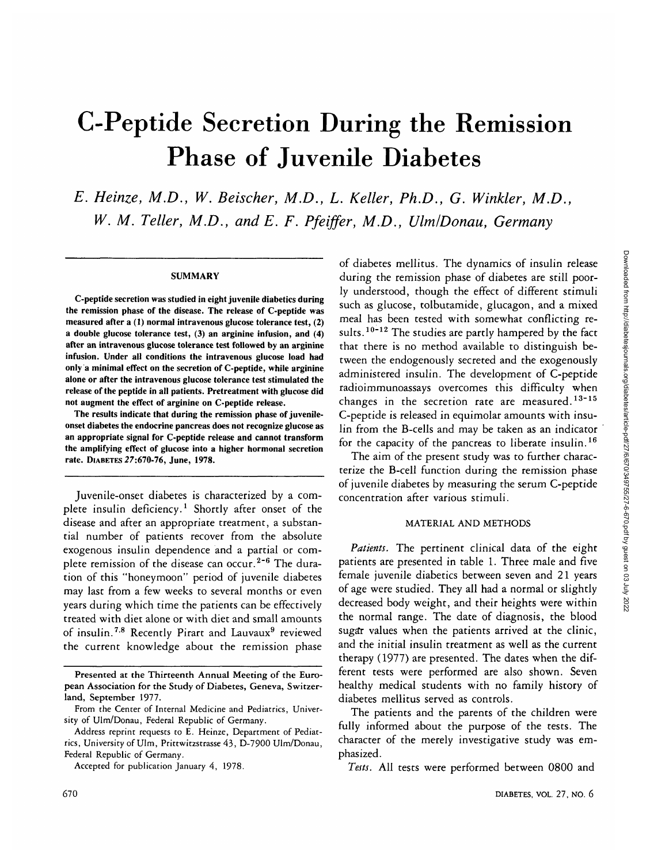# C-Peptide Secretion During the Remission Phase of Juvenile Diabetes

*E. Heinze, M.D., W. Beischer, M.D., L. Keller, Ph.D., G. Winkler, M.D.,* W. M. Teller, M.D., and E. F. Pfeiffer, M.D., Ulm/Donau, Germany

### **SUMMARY**

**C-peptide secretion was studied in eight juvenile diabetics during the remission phase of the disease. The release of C-peptide was measured after a (1) normal intravenous glucose tolerance test, (2) a double glucose tolerance test, (3) an arginine infusion, and (4) after an intravenous glucose tolerance test followed by an arginine infusion. Under all conditions the intravenous glucose load had only a minimal effect on the secretion of C-peptide, while arginine alone or after the intravenous glucose tolerance test stimulated the release of the peptide in all patients. Pretreatment with glucose did not augment the effect of arginine on C-peptide release.**

**The results indicate that during the remission phase of juvenileonset diabetes the endocrine pancreas does not recognize glucose as an appropriate signal for C-peptide release and cannot transform the amplifying effect of glucose into a higher hormonal secretion rate. DIABETES 27:670-76, June, 1978.**

Juvenile-onset diabetes is characterized by a complete insulin deficiency.<sup>1</sup> Shortly after onset of the disease and after an appropriate treatment, a substantial number of patients recover from the absolute exogenous insulin dependence and a partial or complete remission of the disease can occur.<sup>2-6</sup> The duration of this "honeymoon" period of juvenile diabetes may last from a few weeks to several months or even years during which time the patients can be effectively treated with diet alone or with diet and small amounts of insulin.<sup>7.8</sup> Recently Pirart and Lauvaux<sup>9</sup> reviewed the current knowledge about the remission phase

of diabetes mellitus. The dynamics of insulin release during the remission phase of diabetes are still poorly understood, though the effect of different stimuli such as glucose, tolbutamide, glucagon, and a mixed meal has been tested with somewhat conflicting results.<sup>10-12</sup> The studies are partly hampered by the fact that there is no method available to distinguish between the endogenously secreted and the exogenously administered insulin. The development of C-peptide radioimmunoassays overcomes this difficulty when changes in the secretion rate are measured.<sup>13-15</sup> C-peptide is released in equimolar amounts with insulin from the B-cells and may be taken as an indicator for the capacity of the pancreas to liberate insulin.<sup>16</sup>

The aim of the present study was to further characterize the B-cell function during the remission phase of juvenile diabetes by measuring the serum C-peptide concentration after various stimuli.

## MATERIAL AND METHODS

*Patients.* The pertinent clinical data of the eight patients are presented in table 1. Three male and five female juvenile diabetics between seven and 21 years of age were studied. They all had a normal or slightly decreased body weight, and their heights were within the normal range. The date of diagnosis, the blood sugar values when the patients arrived at the clinic, and the initial insulin treatment as well as the current therapy (1977) are presented. The dates when the different tests were performed are also shown. Seven healthy medical students with no family history of diabetes mellitus served as controls.

The patients and the parents of the children were fully informed about the purpose of the tests. The character of the merely investigative study was emphasized.

*Tests.* All tests were performed between 0800 and

**Presented at the Thirteenth Annual Meeting of the European Association for the Study of Diabetes, Geneva, Switzerland, September** 1977.

From the Center of Internal Medicine and Pediatrics, University of Ulm/Donau, Federal Republic of Germany.

Address reprint requests to E. Heinze, Department of Pediatrics, University of Ulm, Prittwitzstrasse 43, D-7900 Ulm/Donau, Federal Republic of Germany.

Accepted for publication January 4, 1978.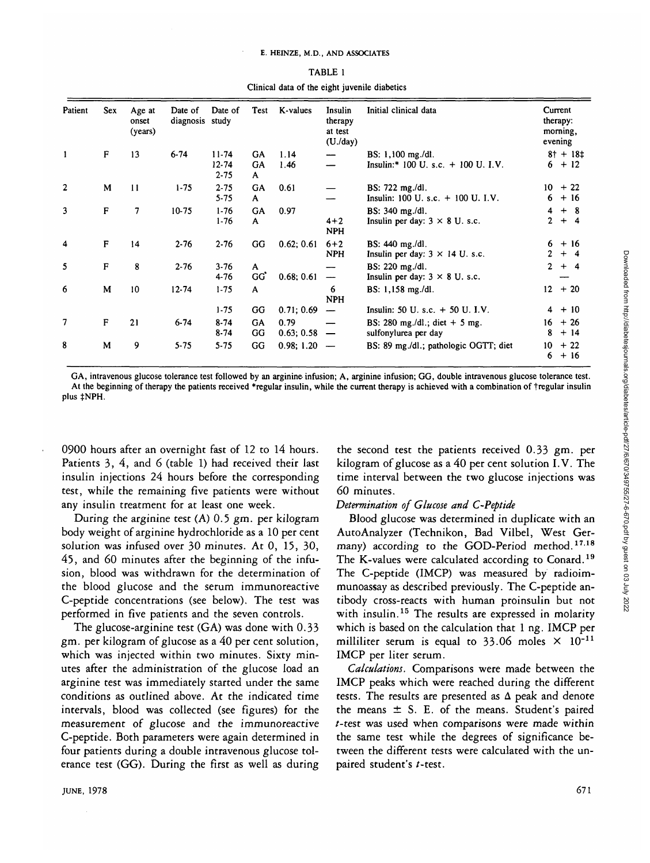| Patient<br>$\mathbf{1}$ | <b>Sex</b><br>$\mathbf{F}$ | Age at<br>onset<br>(years)<br>13 | Date of<br>diagnosis study<br>$6 - 74$ | Date of<br>$11 - 74$<br>$12 - 74$<br>$2 - 75$ | Test<br>GA<br>GA<br>A | K-values<br>1.14<br>1.46 | Insulin<br>therapy<br>at test<br>(U./day) | Initial clinical data                                          | Current<br>therapy:<br>morning,<br>evening |                          |
|-------------------------|----------------------------|----------------------------------|----------------------------------------|-----------------------------------------------|-----------------------|--------------------------|-------------------------------------------|----------------------------------------------------------------|--------------------------------------------|--------------------------|
|                         |                            |                                  |                                        |                                               |                       |                          |                                           | BS: 1,100 mg./dl.<br>Insulin:* $100 U$ , s.c. $+ 100 U$ , I.V. |                                            | $8 + + 18 +$<br>$6 + 12$ |
| $\overline{2}$          | M                          | 11                               | $1 - 75$                               | $2 - 75$<br>$5 - 75$                          | GA<br>A               | 0.61                     |                                           | BS: 722 mg./dl.<br>Insulin: $100 U$ . s.c. $+ 100 U$ . I.V.    | 10 <sub>1</sub><br>6                       | $+22$<br>$+16$           |
| 3                       | F                          | 7                                | $10-75$                                | $1-76$<br>$1-76$                              | <b>GA</b><br>A        | 0.97                     | $4 + 2$<br><b>NPH</b>                     | BS: 340 mg./dl.<br>Insulin per day: $3 \times 8$ U. s.c.       | 4<br>$\mathbf{2}$                          | $+8$<br>$+ 4$            |
| 4                       | $\mathbf{F}$               | 14                               | $2 - 76$                               | $2 - 76$                                      | GG                    | 0.62; 0.61               | $6 + 2$<br><b>NPH</b>                     | BS: 440 mg./dl.<br>Insulin per day: $3 \times 14$ U. s.c.      | 6<br>2                                     | $+16$<br>$+$ 4           |
| 5                       | F                          | 8                                | $2 - 76$                               | $3-76$<br>4-76                                | A<br>GG               | 0.68; 0.61               | $\overline{\phantom{m}}$                  | BS: 220 mg./dl.<br>Insulin per day: $3 \times 8$ U. s.c.       | $\mathbf{2}$                               | $+ 4$                    |
| 6                       | M                          | 10 <sup>10</sup>                 | $12 - 74$                              | $1 - 75$                                      | A                     |                          | 6<br><b>NPH</b>                           | BS: 1,158 mg./dl.                                              | 12                                         | $+20$                    |
|                         |                            |                                  |                                        | $1 - 75$                                      | GG                    | 0.71; 0.69               | $\overline{\phantom{a}}$                  | Insulin: $50 U. s.c. + 50 U. I.V.$                             | 4                                          | $+10$                    |
| 7                       | $\mathbf{F}$               | 21                               | $6 - 74$                               | $8 - 74$<br>$8 - 74$                          | GA<br>GG              | 0.79<br>$0.63; 0.58 -$   |                                           | BS: 280 mg./dl.; diet $+$ 5 mg.<br>sulfonylurea per day        | 16<br>8                                    | $+26$<br>$+14$           |
| 8                       | M                          | 9                                | $5 - 75$                               | $5 - 75$                                      | GG                    | 0.98; 1.20               | $\overline{\phantom{a}}$                  | BS: 89 mg./dl.; pathologic OGTT; diet                          | 10<br>6                                    | $+22$<br>$+16$           |

| TABLE 1 |  |  |  |  |  |                                               |  |  |  |  |  |
|---------|--|--|--|--|--|-----------------------------------------------|--|--|--|--|--|
|         |  |  |  |  |  | Clinical data of the eight juvenile diabetics |  |  |  |  |  |

GA, intravenous glucose tolerance test followed by an arginine infusion; A, arginine infusion; GG, double intravenous glucose tolerance test. At the beginning of therapy the patients received \*regular insulin, while the current therapy is achieved with a combination of tregular insulin plus  $\pm$ NPH.

0900 hours after an overnight fast of 12 to 14 hours. Patients 3, 4, and 6 (table 1) had received their last insulin injections 24 hours before the corresponding test, while the remaining five patients were without any insulin treatment for at least one week.

During the arginine test (A) 0.5 gm. per kilogram body weight of arginine hydrochloride as a 10 per cent solution was infused over 30 minutes. At 0, 15, 30, 45, and 60 minutes after the beginning of the infusion, blood was withdrawn for the determination of the blood glucose and the serum immunoreactive C-peptide concentrations (see below). The test was performed in five patients and the seven controls.

The glucose-arginine test (GA) was done with 0.33 gm. per kilogram of glucose as a 40 per cent solution, which was injected within two minutes. Sixty minutes after the administration of the glucose load an arginine test was immediately started under the same conditions as outlined above. At the indicated time intervals, blood was collected (see figures) for the measurement of glucose and the immunoreactive C-peptide. Both parameters were again determined in four patients during a double intravenous glucose tolerance test (GG). During the first as well as during

the second test the patients received 0.33 gm. per kilogram of glucose as a 40 per cent solution I.V. The time interval between the two glucose injections was 60 minutes.

## *Determination of Glucose and C-Peptide*

Blood glucose was determined in duplicate with an AutoAnalyzer (Technikon, Bad Vilbel, West Germany) according to the GOD-Period method.<sup>17,18</sup> The K-values were calculated according to Conard.<sup>19</sup> The C-peptide (IMCP) was measured by radioimmunoassay as described previously. The C-peptide antibody cross-reacts with human proinsulin but not with insulin.<sup>15</sup> The results are expressed in molarity which is based on the calculation that 1 ng. IMCP per milliliter serum is equal to 33.06 moles  $\times$  10<sup>-11</sup> IMCP per liter serum.

*Calculations.* Comparisons were made between the IMCP peaks which were reached during the different tests. The results are presented as  $\Delta$  peak and denote the means  $\pm$  S. E. of the means. Student's paired /-test was used when comparisons were made within the same test while the degrees of significance between the different tests were calculated with the unpaired student's t-test.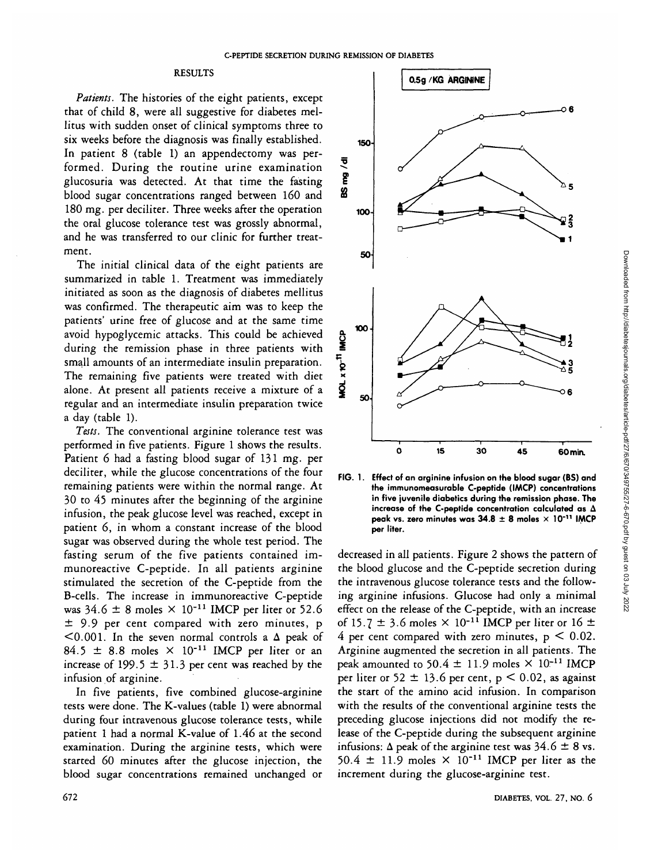# RESULTS

*Patients.* The histories of the eight patients, except that of child 8, were all suggestive for diabetes mellitus with sudden onset of clinical symptoms three to six weeks before the diagnosis was finally established. In patient 8 (table 1) an appendectomy was performed. During the routine urine examination glucosuria was detected. At that time the fasting blood sugar concentrations ranged between 160 and 180 mg. per deciliter. Three weeks after the operation the oral glucose tolerance test was grossly abnormal, and he was transferred to our clinic for further treatment.

The initial clinical data of the eight patients are summarized in table 1. Treatment was immediately initiated as soon as the diagnosis of diabetes mellitus was confirmed. The therapeutic aim was to keep the patients' urine free of glucose and at the same time avoid hypoglycemic attacks. This could be achieved during the remission phase in three patients with small amounts of an intermediate insulin preparation. The remaining five patients were treated with diet alone. At present all patients receive a mixture of a regular and an intermediate insulin preparation twice a day (table 1).

*Tests.* The conventional arginine tolerance test was performed in five patients. Figure 1 shows the results. Patient 6 had a fasting blood sugar of 131 mg. per deciliter, while the glucose concentrations of the four remaining patients were within the normal range. At 30 to 45 minutes after the beginning of the arginine infusion, the peak glucose level was reached, except in patient 6, in whom a constant increase of the blood sugar was observed during the whole test period. The fasting serum of the five patients contained immunoreactive C-peptide. In all patients arginine stimulated the secretion of the C-peptide from the B-cells. The increase in immunoreactive C-peptide was  $34.6 \pm 8$  moles  $\times 10^{-11}$  IMCP per liter or 52.6 ± 9-9 per cent compared with zero minutes, p  $<$ 0.001. In the seven normal controls a  $\Delta$  peak of 84.5  $\pm$  8.8 moles  $\times$  10<sup>-11</sup> IMCP per liter or an increase of 199.5  $\pm$  31.3 per cent was reached by the infusion of arginine.

In five patients, five combined glucose-arginine tests were done. The K-values (table 1) were abnormal during four intravenous glucose tolerance tests, while patient 1 had a normal K-value of 1.46 at the second examination. During the arginine tests, which were started 60 minutes after the glucose injection, the blood sugar concentrations remained unchanged or



**FIG. 1. Effect of an arginine infusion on the blood sugar (BS) and the immunomeasurable C-peptide (IMCP) concentrations in five juvenile diabetics during the remission phase. The increase of the C-peptide concentration calculated as A peak vs. zero minutes was 34.8 ± 8 moles x 10"" IMCP per liter.**

decreased in all patients. Figure 2 shows the pattern of the blood glucose and the C-peptide secretion during the intravenous glucose tolerance tests and the following arginine infusions. Glucose had only a minimal effect on the release of the C-peptide, with an increase of 15.7  $\pm$  3.6 moles  $\times$  10<sup>-11</sup> IMCP per liter or 16  $\pm$ 4 per cent compared with zero minutes,  $p < 0.02$ . Arginine augmented the secretion in all patients. The peak amounted to 50.4  $\pm$  11.9 moles  $\times$  10<sup>-11</sup> IMCP per liter or 52  $\pm$  13.6 per cent, p < 0.02, as against the start of the amino acid infusion. In comparison with the results of the conventional arginine tests the preceding glucose injections did not modify the release of the C-peptide during the subsequent arginine infusions:  $\Delta$  peak of the arginine test was 34.6  $\pm$  8 vs. 50.4  $\pm$  11.9 moles  $\times$  10<sup>-11</sup> IMCP per liter as the increment during the glucose-arginine test.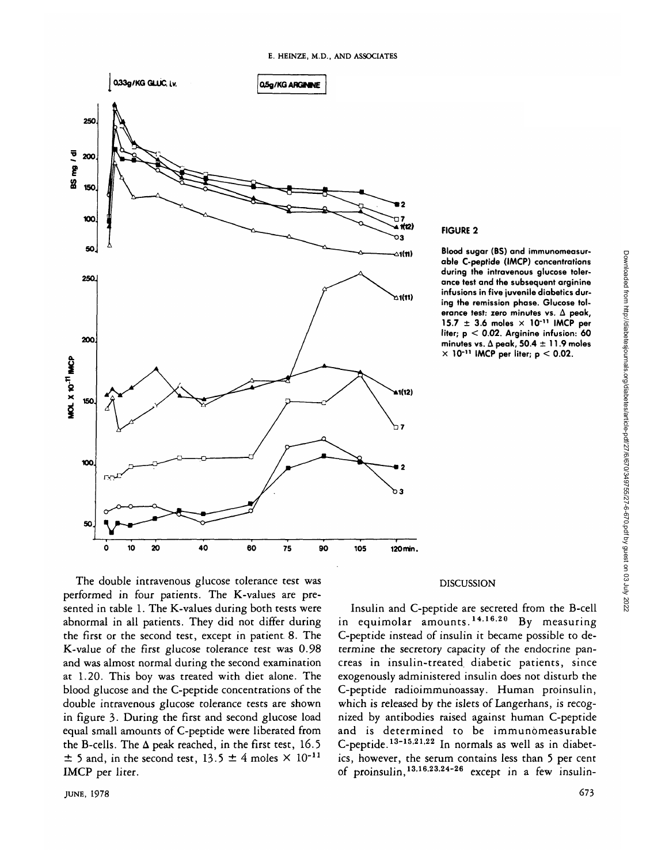

## **FIGURE 2**

**Blood sugar (BS) and immunomeasurable C-peptide (IAACP) concentrations during the intravenous glucose tolerance test and the subsequent arginine infusions in five juvenile diabetics during the remission phase. Glucose tolerance test: zero minutes vs. A peak, 15.7 ±3. 6 moles x 10"<sup>11</sup> IMCP per liter; p < 0.02. Arginine infusion: 60 minutes vs. A peak, 50.4 ± 11.9 moles**  $\times$  10<sup>-11</sup> IMCP per liter;  $p < 0.02$ .

The double intravenous glucose tolerance test was performed in four patients. The K-values are presented in table 1. The K-values during both tests were abnormal in all patients. They did not differ during the first or the second test, except in patient. 8. The K-value of the first glucose tolerance test was 0.98 and was almost normal during the second examination at 1.20. This boy was treated with diet alone. The blood glucose and the C-peptide concentrations of the double intravenous glucose tolerance tests are shown in figure 3. During the first and second glucose load equal small amounts of C-peptide were liberated from the B-cells. The  $\Delta$  peak reached, in the first test, 16.5  $\pm$  5 and, in the second test, 13.5  $\pm$  4 moles  $\times$  10<sup>-11</sup> IMCP per liter.

## DISCUSSION

Insulin and C-peptide are secreted from the B-cell in equimolar amounts.<sup>14.16.20</sup> By measuring C-peptide instead of insulin it became possible to determine the secretory capacity of the endocrine pancreas in insulin-treated diabetic patients, since exogenously administered insulin does not disturb the C-peptide radioimmunoassay. Human proinsulin, which is released by the islets of Langerhans, is recognized by antibodies raised against human C-peptide and is determined to be immunomeasurable C-peptide.<sup>13-15,21,22</sup> In normals as well as in diabetics, however, the serum contains less than 5 per cent of proinsulin, <sup>13,16,23,24-26</sup> except in a few insulinDownloaded from http://diabetesjournals.org/diabetes/article-pdf/27/6/670/349755/27-6-670.pdf by guest on 03 July 2022

Downloaded from http://diabetesjournals.org/diabetes/article-pdf/27/670/349755/27-6-670.pdf by guest on 03 July 2022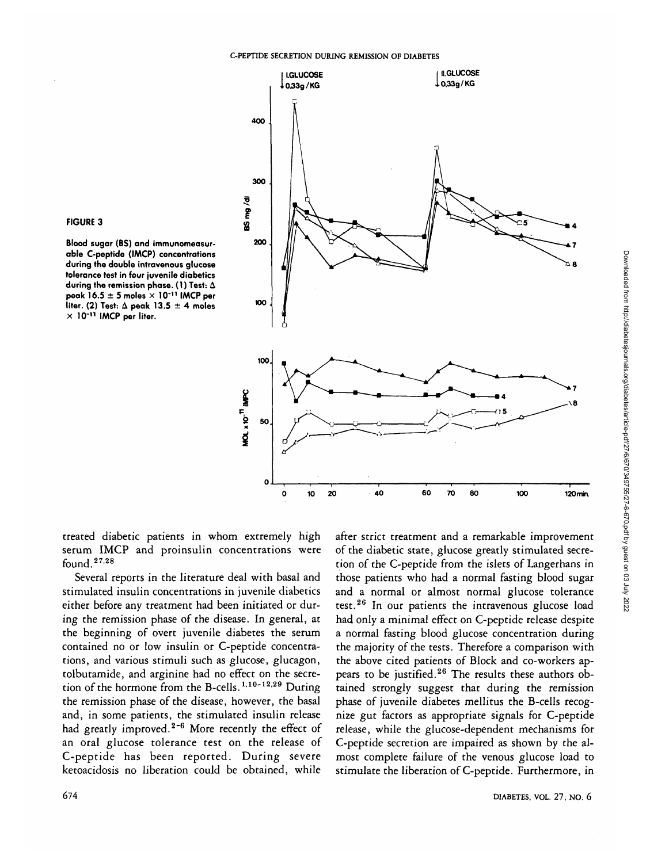

**Blood sugar (BS) and immunomeasurable C-peptide (IMCP) concentrations during the double intravenous glucose tolerance test in four juvenile diabetics during the remission phase. (1) Test: A peak 16.5 ± 5 moles x 10'<sup>11</sup> IMCP per liter. (2) Test: A peak 13.5 ± 4 moles X 10"<sup>11</sup> IMCP per liter.**



treated diabetic patients in whom extremely high serum IMCP and proinsulin concentrations were found.<sup>2728</sup>

Several reports in the literature deal with basal and stimulated insulin concentrations in juvenile diabetics either before any treatment had been initiated or during the remission phase of the disease. In general, at the beginning of overt juvenile diabetes the serum contained no or low insulin or C-peptide concentrations, and various stimuli such as glucose, glucagon, tolbutamide, and arginine had no effect on the secretion of the hormone from the B-cells.<sup>1,10-12,29</sup> During the remission phase of the disease, however, the basal and, in some patients, the stimulated insulin release had greatly improved.<sup>2-6</sup> More recently the effect of an oral glucose tolerance test on the release of C-peptide has been reported. During severe ketoacidosis no liberation could be obtained, while

after strict treatment and a remarkable improvement of the diabetic state, glucose greatly stimulated secretion of the C-peptide from the islets of Langerhans in those patients who had a normal fasting blood sugar and a normal or almost normal glucose tolerance test.<sup>26</sup> In our patients the intravenous glucose load had only a minimal effect on C-peptide release despite a normal fasting blood glucose concentration during the majority of the tests. Therefore a comparison with the above cited patients of Block and co-workers appears to be justified.<sup>26</sup> The results these authors obtained strongly suggest that during the remission phase of juvenile diabetes mellitus the B-cells recognize gut factors as appropriate signals for C-peptide release, while the glucose-dependent mechanisms for C-peptide secretion are impaired as shown by the almost complete failure of the venous glucose load to stimulate the liberation of C-peptide. Furthermore, in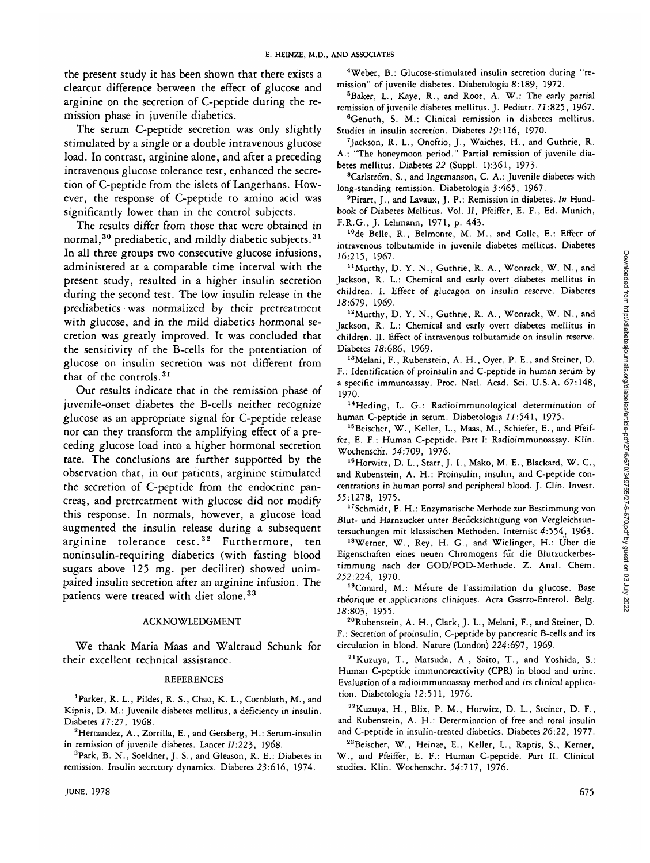the present study it has been shown that there exists a clearcut difference between the effect of glucose and arginine on the secretion of C-peptide during the remission phase in juvenile diabetics.

The serum C-peptide secretion was only slightly stimulated by a single or a double intravenous glucose load. In contrast, arginine alone, and after a preceding intravenous glucose tolerance test, enhanced the secretion of C-peptide from the islets of Langerhans. However, the response of C-peptide to amino acid was significantly lower than in the control subjects.

The results differ from those that were obtained in normal, $^{\bf 30}$  prediabetic, and mildly diabetic subjects. $^{\bf 31}$ In all three groups two consecutive glucose infusions, administered at a comparable time interval with the present study, resulted in a higher insulin secretion during the second test. The low insulin release in the prediabetics was normalized by their pretreatment with glucose, and in the mild diabetics hormonal secretion was greatly improved. It was concluded that the sensitivity of the B-cells for the potentiation of glucose on insulin secretion was not different from that of the controls.<sup>31</sup>

Our results indicate that in the remission phase of juvenile-onset diabetes the B-cells neither recognize glucose as an appropriate signal for C-peptide release nor can they transform the amplifying effect of a preceding glucose load into a higher hormonal secretion rate. The conclusions are further supported by the observation that, in our patients, arginine stimulated the secretion of C-peptide from the endocrine pancreas, and pretreatment with glucose did not modify this response. In normals, however, a glucose load augmented the insulin release during a subsequent arginine tolerance test.<sup>32</sup> Furthermore, ten noninsulin-requiring diabetics (with fasting blood sugars above 125 mg. per deciliter) showed unimpaired insulin secretion after an arginine infusion. The patients were treated with diet alone.<sup>33</sup>

## ACKNOWLEDGMENT

We thank Maria Maas and Waltraud Schunk for their excellent technical assistance.

## REFERENCES

<sup>1</sup>Parker, R. L., Pildes, R. S., Chao, K. L., Cornblath, M., and Kipnis, D. M.: Juvenile diabetes mellitus, a deficiency in insulin. Diabetes 17:27, 1968.

 $^{2}$ Hernandez, A., Zorrilla, E., and Gersberg, H.: Serum-insulin in remission of juvenile diabetes. Lancet  $II:223$ , 1968.

<sup>3</sup>Park, B. N., Soeldner, J. S., and Gleason, R. E.: Diabetes in remission. Insulin secretory dynamics. Diabetes 23:616, 1974.

4 Weber, B.: Glucose-stimulated insulin secretion during "remission" of juvenile diabetes. Diabetologia 8:189, 1972.

5 Baker, L., Kaye, R., and Root, A. W.: The early partial remission of juvenile diabetes mellitus. J. Pediatr. 77:825, 1967.

6 Genuth, S. M.: Clinical remission in diabetes mellitus. Studies in insulin secretion. Diabetes 79:116, 1970.

7 Jackson, R. L., Onofrio, J., Waiches, H., and Guthrie, R. A.: "The honeymoon period." Partial remission of juvenile diabetes mellitus. Diabetes *22* (Suppl. l):36l, 1973.

<sup>8</sup>Carlström, S., and Ingemanson, C. A.: Juvenile diabetes with long-standing remission. Diabetologia 3:465, 1967.

9 Pirart, J., and Lavaux, J. P.: Remission in diabetes. *In* Handbook of Diabetes Mellitus. Vol. II, Pfeiffer, E. F., Ed. Munich, F.R.G., J. Lehmann, 1971, p. 443.

10de Belle, R., Belmonte, M. M., and Colle, E.: Effect of intravenous tolbutamide in juvenile diabetes mellitus. Diabetes 76:215, 1967.

<sup>11</sup> Murthy, D. Y. N., Guthrie, R. A., Wonrack, W. N., and Jackson, R. L.: Chemical and early overt diabetes mellitus in children. I. Effect of glucagon on insulin reserve. Diabetes 78:679, 1969.

<sup>12</sup>Murthy, D. Y. N., Guthrie, R. A., Wonrack, W. N., and Jackson, R. L.: Chemical and early overt diabetes mellitus in children. II. Effect of intravenous tolbutamide on insulin reserve. Diabetes 18:686, 1969.

13Melani, F., Rubenstein, A. H., Oyer, P. E., and Steiner, D. F.: Identification of proinsulin and C-peptide in human serum by a specific immunoassay. Proc. Natl. Acad. Sci. U.S.A. 67:148, 1970.

<sup>14</sup>Heding, L. G.: Radioimmunological determination of human C-peptide in serum. Diabetologia 11:541, 1975.

15Beischer, W., Keller, L., Maas, M., Schiefer, E., and Pfeiffer, E. F.: Human C-peptide. Part I: Radioimmunoassay. Klin. Wochenschr. 54:709, 1976.

<sup>16</sup>Horwitz, D. L., Starr, J. I., Mako, M. E., Blackard, W. C., and Rubenstein, A. H.: Proinsulin, insulin, and C-peptide concentrations in human portal and peripheral blood. J. Clin. Invest. .5.5:1278, 1975.

17Schmidt, F. H.: Enzymatische Methode zur Bestimmung von Blut- und Harnzucker unter Berucksichtigung von Vergleichsuntersuchungen mit klassischen Methoden. Internist 4:554, 1963-

<sup>18</sup>Werner, W., Rey, H. G., and Wielinger, H.: Uber die Eigenschaften eines neuen Chromogens fur die Blutzuckerbestimmung nach der GOD/POD-Methode. Z. Anal. Chem. 232:224, 1970.

<sup>19</sup>Conard, M.: Mésure de l'assimilation du glucose. Base theorique et applications cliniques. Acta Gastro-Enterol. Belg. 78:803, 1955.

20Rubenstein, A. H., Clark, J. L., Melani, F., and Steiner, D. F.: Secretion of proinsulin, C-peptide by pancreatic B-cells and its circulation in blood. Nature (London) 224:697, 1969.

21Kuzuya, T., Matsuda, A., Saito, T., and Yoshida, S.: Human C-peptide immunoreactivity (CPR) in blood and urine. Evaluation of a radioimmunoassay method and its clinical application. Diabetologia 72:511, 1976.

22Kuzuya, H., Blix, P. M., Horwitz, D. L., Steiner, D. F., and Rubenstein, A. H.: Determination of free and total insulin and C-peptide in insulin-treated diabetics. Diabetes 26:22, 1977.

23Beischer, W., Heinze, E., Keller, L., Raptis, S., Kerner, W., and Pfeiffer, E. F.: Human C-peptide. Part II. Clinical studies. Klin. Wochenschr. 54:717, 1976.